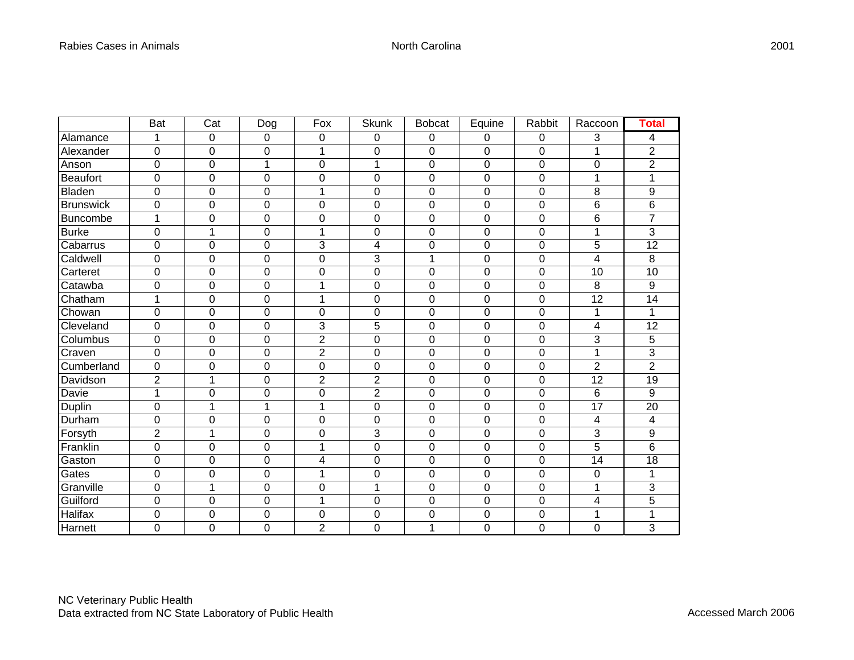|                  | <b>Bat</b>     | $\overline{\text{Cat}}$ | Dog | Fox            | <b>Skunk</b>   | <b>Bobcat</b>  | Equine         | Rabbit | Raccoon          | Total           |
|------------------|----------------|-------------------------|-----|----------------|----------------|----------------|----------------|--------|------------------|-----------------|
| Alamance         | 1              | $\mathbf 0$             | 0   | 0              | 0              | $\mathbf 0$    | $\mathbf 0$    | 0      | 3                | 4               |
| Alexander        | $\mathbf 0$    | $\pmb{0}$               | 0   | $\overline{1}$ | $\mathbf 0$    | $\mathbf 0$    | $\mathbf 0$    | 0      | 1                | $\overline{2}$  |
| Anson            | 0              | $\mathbf 0$             | 1   | $\overline{0}$ | $\overline{1}$ | $\overline{0}$ | $\overline{0}$ | 0      | $\mathbf 0$      | $\overline{2}$  |
| <b>Beaufort</b>  | 0              | $\boldsymbol{0}$        | 0   | $\mathbf 0$    | 0              | $\mathbf 0$    | $\mathbf 0$    | 0      | 1                | 1               |
| <b>Bladen</b>    | 0              | $\mathbf 0$             | 0   | 1              | 0              | 0              | $\mathbf 0$    | 0      | 8                | 9               |
| <b>Brunswick</b> | 0              | $\mathbf 0$             | 0   | $\overline{0}$ | 0              | $\mathbf 0$    | $\mathbf 0$    | 0      | 6                | 6               |
| <b>Buncombe</b>  | 1              | $\boldsymbol{0}$        | 0   | $\mathbf 0$    | 0              | $\mathbf 0$    | $\mathbf 0$    | 0      | 6                | $\overline{7}$  |
| <b>Burke</b>     | $\overline{0}$ | $\mathbf{1}$            | 0   | $\overline{1}$ | 0              | $\overline{0}$ | $\mathbf 0$    | 0      | 1                | 3               |
| Cabarrus         | 0              | $\mathbf 0$             | 0   | 3              | 4              | $\mathbf 0$    | $\mathbf 0$    | 0      | 5                | $\overline{12}$ |
| Caldwell         | 0              | $\mathbf 0$             | 0   | $\mathbf 0$    | 3              | 1              | 0              | 0      | 4                | 8               |
| Carteret         | $\mathbf 0$    | $\mathbf 0$             | 0   | $\mathbf 0$    | 0              | $\mathbf 0$    | $\pmb{0}$      | 0      | 10               | $\overline{10}$ |
| Catawba          | 0              | $\mathbf 0$             | 0   | 1              | 0              | $\mathbf 0$    | $\Omega$       | 0      | 8                | 9               |
| Chatham          | 1              | $\mathbf 0$             | 0   | 1              | 0              | $\mathbf 0$    | $\mathbf 0$    | 0      | 12               | 14              |
| Chowan           | 0              | $\boldsymbol{0}$        | 0   | $\mathbf 0$    | 0              | $\mathbf 0$    | $\mathbf 0$    | 0      | 1                | 1               |
| Cleveland        | 0              | $\mathbf 0$             | 0   | 3              | 5              | 0              | $\Omega$       | 0      | 4                | 12              |
| Columbus         | 0              | $\mathbf 0$             | 0   | $\overline{c}$ | 0              | 0              | $\mathbf 0$    | 0      | 3                | 5               |
| Craven           | 0              | $\mathbf 0$             | 0   | $\overline{2}$ | 0              | $\mathbf 0$    | $\mathbf 0$    | 0      | 1                | 3               |
| Cumberland       | 0              | $\mathbf 0$             | 0   | $\mathbf 0$    | 0              | $\mathbf 0$    | $\mathbf 0$    | 0      | $\boldsymbol{2}$ | $\overline{2}$  |
| Davidson         | $\overline{2}$ | $\mathbf{1}$            | 0   | $\overline{2}$ | $\overline{2}$ | $\mathbf 0$    | $\overline{0}$ | 0      | 12               | 19              |
| Davie            | 1              | $\boldsymbol{0}$        | 0   | $\mathbf 0$    | $\overline{2}$ | $\mathbf 0$    | $\mathbf 0$    | 0      | 6                | 9               |
| Duplin           | 0              | 1                       | 1   | 1              | 0              | 0              | $\mathbf 0$    | 0      | 17               | 20              |
| Durham           | 0              | $\mathbf 0$             | 0   | $\mathbf 0$    | 0              | $\mathbf 0$    | $\mathbf 0$    | 0      | 4                | 4               |
| Forsyth          | $\overline{2}$ | 1                       | 0   | $\mathbf 0$    | 3              | $\mathbf 0$    | $\pmb{0}$      | 0      | 3                | 9               |
| Franklin         | 0              | $\mathbf 0$             | 0   | 1              | 0              | $\mathbf 0$    | $\overline{0}$ | 0      | 5                | 6               |
| Gaston           | 0              | $\boldsymbol{0}$        | 0   | 4              | 0              | $\mathbf 0$    | $\mathbf 0$    | 0      | 14               | 18              |
| Gates            | 0              | $\mathbf 0$             | 0   | 1              | 0              | $\mathbf 0$    | $\mathbf 0$    | 0      | 0                | 1               |
| Granville        | 0              | 1                       | 0   | 0              | 1              | 0              | $\Omega$       | 0      | 1                | 3               |
| Guilford         | 0              | $\mathbf 0$             | 0   | 1              | 0              | 0              | 0              | 0      | 4                | 5               |
| Halifax          | 0              | $\mathbf 0$             | 0   | 0              | 0              | $\mathbf 0$    | 0              | 0      | 1                | 1               |
| Harnett          | 0              | $\overline{0}$          | 0   | $\overline{2}$ | 0              | 1              | 0              | 0      | 0                | 3               |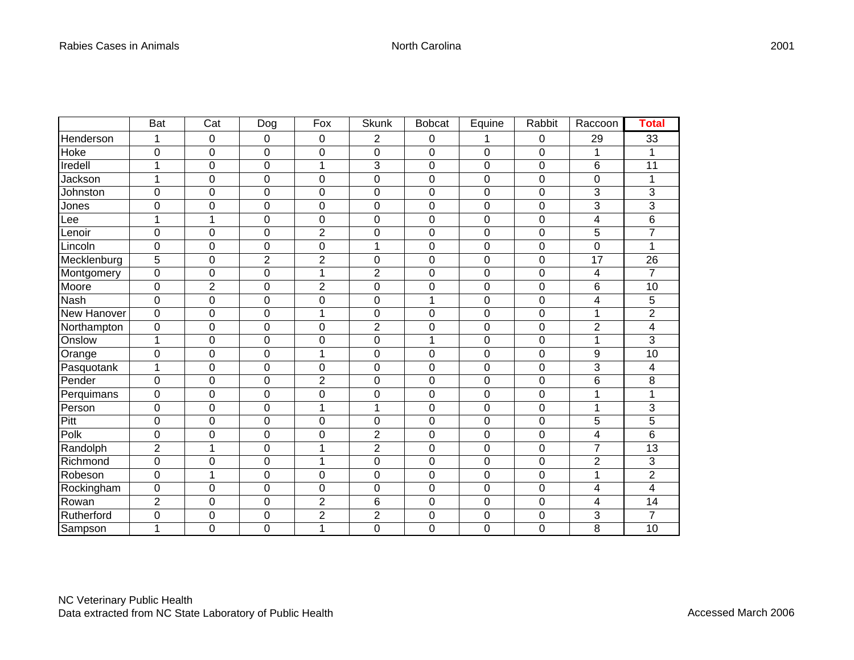|             | <b>Bat</b>     | $\overline{\text{Cat}}$ | <b>Dog</b>     | Fox            | <b>Skunk</b>            | <b>Bobcat</b>  | Equine           | Rabbit | Raccoon                  | Total           |
|-------------|----------------|-------------------------|----------------|----------------|-------------------------|----------------|------------------|--------|--------------------------|-----------------|
| Henderson   | 1              | 0                       | 0              | 0              | 2                       | 0              | 1                | 0      | 29                       | 33              |
| Hoke        | 0              | $\mathbf 0$             | 0              | $\mathbf 0$    | 0                       | $\mathbf 0$    | 0                | 0      | 1                        | 1               |
| Iredell     | $\mathbf{1}$   | $\mathbf 0$             | 0              | 1              | 3                       | $\mathbf 0$    | $\boldsymbol{0}$ | 0      | 6                        | 11              |
| Jackson     | 1              | $\mathbf 0$             | 0              | 0              | 0                       | 0              | 0                | 0      | $\mathbf 0$              | 1               |
| Johnston    | 0              | $\mathbf 0$             | 0              | $\mathbf 0$    | 0                       | 0              | $\mathbf 0$      | 0      | 3                        | 3               |
| Jones       | 0              | $\boldsymbol{0}$        | 0              | 0              | 0                       | 0              | $\mathbf 0$      | 0      | 3                        | 3               |
| Lee         | 1              | $\mathbf{1}$            | 0              | $\mathbf 0$    | 0                       | $\mathbf 0$    | $\mathbf 0$      | 0      | 4                        | $\overline{6}$  |
| Lenoir      | 0              | $\mathbf 0$             | 0              | $\mathbf 2$    | 0                       | $\mathbf 0$    | $\mathbf 0$      | 0      | 5                        | $\overline{7}$  |
| Lincoln     | 0              | $\mathbf 0$             | 0              | $\mathbf 0$    | 1                       | $\mathbf 0$    | $\mathbf 0$      | 0      | $\mathbf 0$              | 1               |
| Mecklenburg | 5              | $\mathbf 0$             | $\overline{2}$ | $\overline{2}$ | 0                       | $\overline{0}$ | $\mathbf 0$      | 0      | 17                       | 26              |
| Montgomery  | 0              | $\pmb{0}$               | 0              | 1              | $\overline{\mathbf{c}}$ | 0              | $\pmb{0}$        | 0      | $\overline{\mathcal{A}}$ | $\overline{7}$  |
| Moore       | 0              | $\overline{2}$          | 0              | $\overline{2}$ | 0                       | 0              | 0                | 0      | 6                        | 10              |
| Nash        | $\overline{0}$ | $\mathbf 0$             | 0              | $\overline{0}$ | 0                       | 1              | $\mathbf 0$      | 0      | 4                        | 5               |
| New Hanover | 0              | $\mathbf 0$             | 0              | 1              | 0                       | 0              | 0                | 0      | 1                        | $\overline{2}$  |
| Northampton | 0              | $\mathbf 0$             | 0              | $\mathbf 0$    | $\overline{2}$          | $\mathbf 0$    | $\mathbf 0$      | 0      | $\overline{2}$           | 4               |
| Onslow      | 1              | $\mathbf 0$             | 0              | $\overline{0}$ | 0                       | 1              | $\mathbf 0$      | 0      | 1                        | 3               |
| Orange      | 0              | $\mathbf 0$             | 0              | 1              | 0                       | $\mathbf 0$    | $\mathbf 0$      | 0      | 9                        | 10              |
| Pasquotank  | $\mathbf{1}$   | $\mathbf 0$             | 0              | $\mathbf 0$    | 0                       | $\mathbf 0$    | $\mathbf 0$      | 0      | 3                        | 4               |
| Pender      | 0              | $\mathbf 0$             | 0              | $\overline{2}$ | 0                       | $\mathbf 0$    | $\mathbf 0$      | 0      | 6                        | 8               |
| Perquimans  | $\overline{0}$ | $\mathbf 0$             | 0              | $\mathbf 0$    | 0                       | $\mathbf 0$    | $\mathbf 0$      | 0      | 1                        | 1               |
| Person      | 0              | $\mathbf 0$             | 0              | 1              | $\mathbf 1$             | 0              | $\mathbf 0$      | 0      | 1                        | 3               |
| Pitt        | 0              | $\mathbf 0$             | 0              | $\mathbf 0$    | 0                       | $\mathbf 0$    | $\mathbf 0$      | 0      | 5                        | 5               |
| Polk        | 0              | $\mathbf 0$             | 0              | $\overline{0}$ | $\overline{2}$          | $\mathbf 0$    | $\mathbf 0$      | 0      | 4                        | 6               |
| Randolph    | $\overline{c}$ | 1                       | 0              | 1              | $\overline{2}$          | $\mathbf 0$    | $\mathbf 0$      | 0      | 7                        | 13              |
| Richmond    | $\overline{0}$ | $\mathbf 0$             | 0              | 1              | 0                       | $\overline{0}$ | $\mathbf 0$      | 0      | $\overline{2}$           | 3               |
| Robeson     | 0              | 1                       | 0              | 0              | 0                       | $\pmb{0}$      | $\mathbf 0$      | 0      | 1                        | $\overline{2}$  |
| Rockingham  | 0              | $\mathbf 0$             | 0              | $\mathbf 0$    | 0                       | $\mathbf 0$    | 0                | 0      | 4                        | 4               |
| Rowan       | $\overline{2}$ | $\mathbf 0$             | 0              | $\overline{2}$ | 6                       | $\mathbf 0$    | $\boldsymbol{0}$ | 0      | 4                        | 14              |
| Rutherford  | 0              | $\mathbf 0$             | 0              | $\overline{2}$ | $\overline{c}$          | 0              | $\mathbf 0$      | 0      | 3                        | 7               |
| Sampson     | 1              | 0                       | 0              | 1              | 0                       | $\overline{0}$ | 0                | 0      | 8                        | $\overline{10}$ |